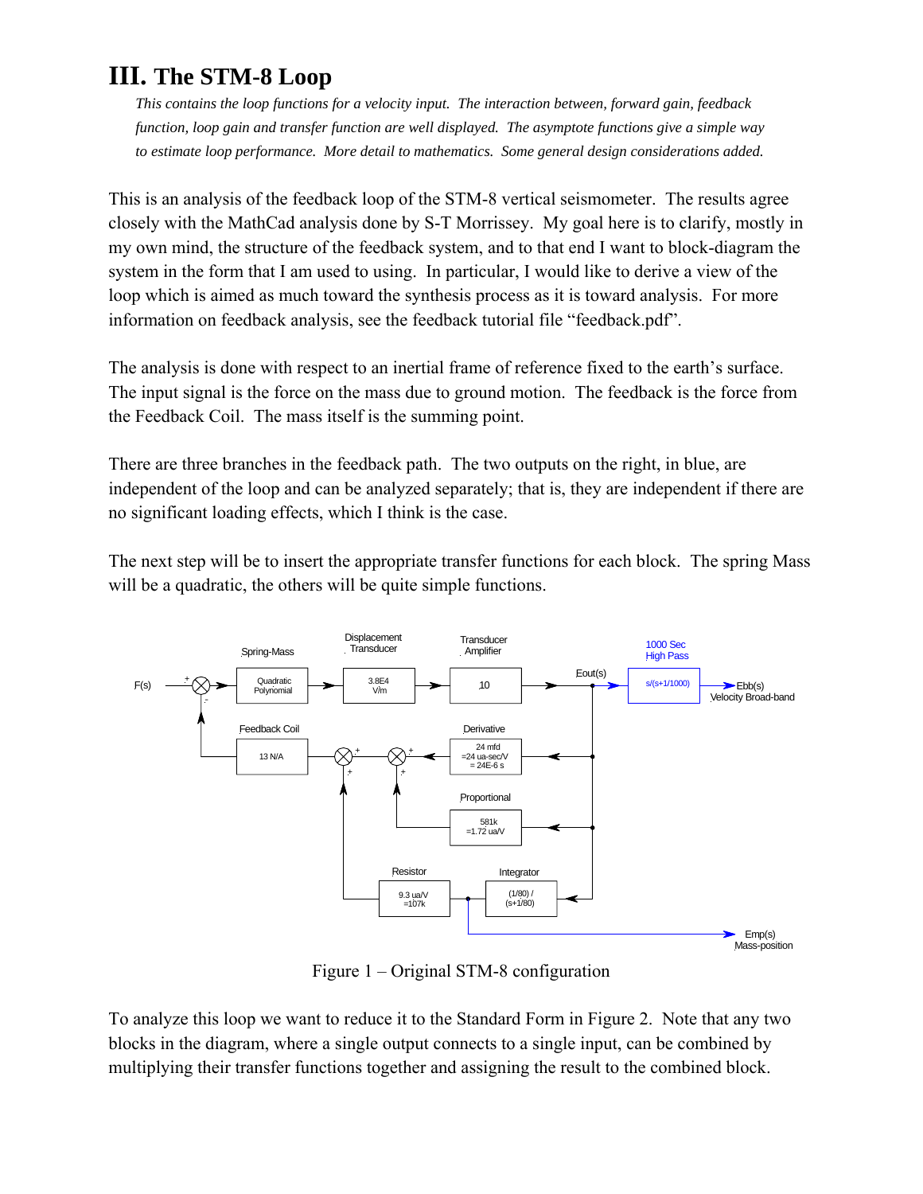# **III. The STM-8 Loop**

*This contains the loop functions for a velocity input. The interaction between, forward gain, feedback function, loop gain and transfer function are well displayed. The asymptote functions give a simple way to estimate loop performance. More detail to mathematics. Some general design considerations added.* 

This is an analysis of the feedback loop of the STM-8 vertical seismometer. The results agree closely with the MathCad analysis done by S-T Morrissey. My goal here is to clarify, mostly in my own mind, the structure of the feedback system, and to that end I want to block-diagram the system in the form that I am used to using. In particular, I would like to derive a view of the loop which is aimed as much toward the synthesis process as it is toward analysis. For more information on feedback analysis, see the feedback tutorial file "feedback.pdf".

The analysis is done with respect to an inertial frame of reference fixed to the earth's surface. The input signal is the force on the mass due to ground motion. The feedback is the force from the Feedback Coil. The mass itself is the summing point.

There are three branches in the feedback path. The two outputs on the right, in blue, are independent of the loop and can be analyzed separately; that is, they are independent if there are no significant loading effects, which I think is the case.

The next step will be to insert the appropriate transfer functions for each block. The spring Mass will be a quadratic, the others will be quite simple functions.



Figure 1 – Original STM-8 configuration

To analyze this loop we want to reduce it to the Standard Form in Figure 2. Note that any two blocks in the diagram, where a single output connects to a single input, can be combined by multiplying their transfer functions together and assigning the result to the combined block.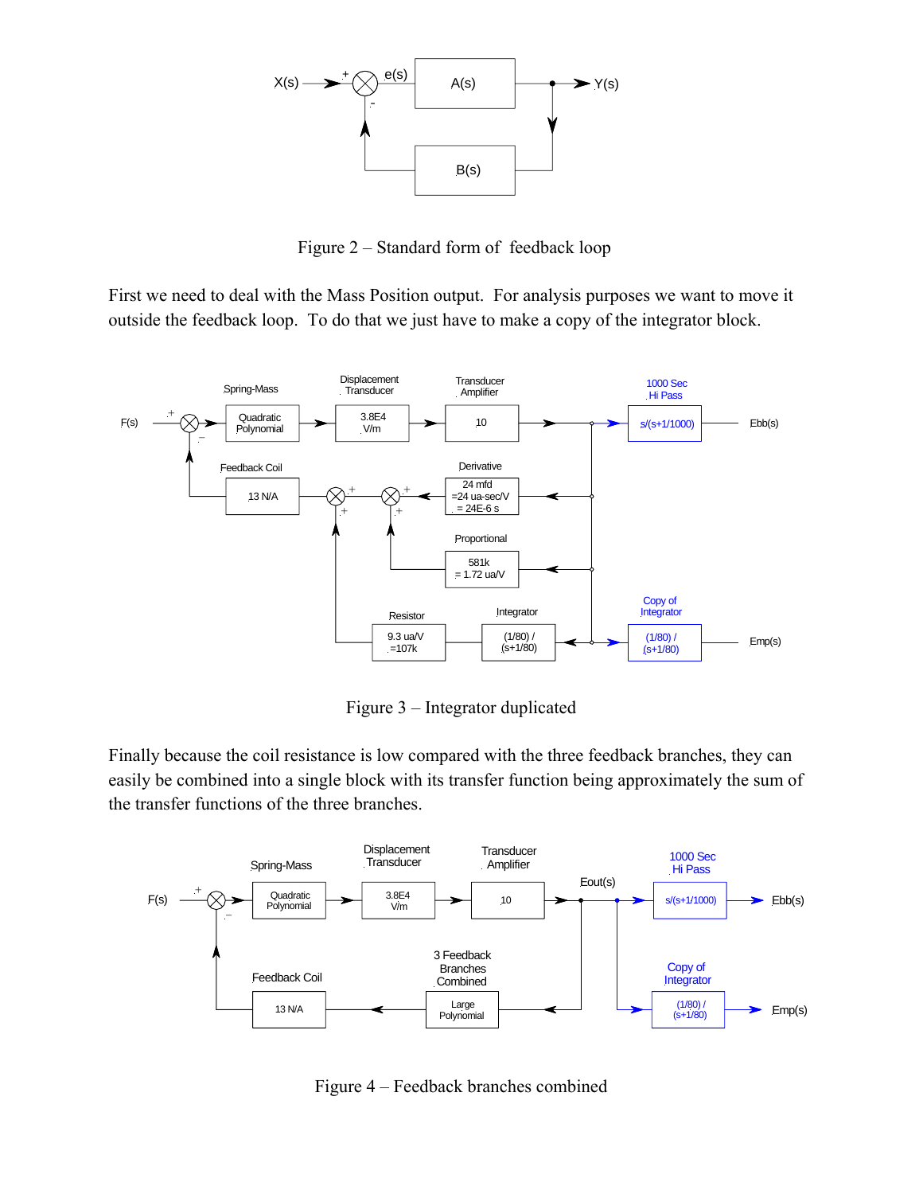

Figure 2 – Standard form of feedback loop

First we need to deal with the Mass Position output. For analysis purposes we want to move it outside the feedback loop. To do that we just have to make a copy of the integrator block.



Figure 3 – Integrator duplicated

Finally because the coil resistance is low compared with the three feedback branches, they can easily be combined into a single block with its transfer function being approximately the sum of the transfer functions of the three branches.



Figure 4 – Feedback branches combined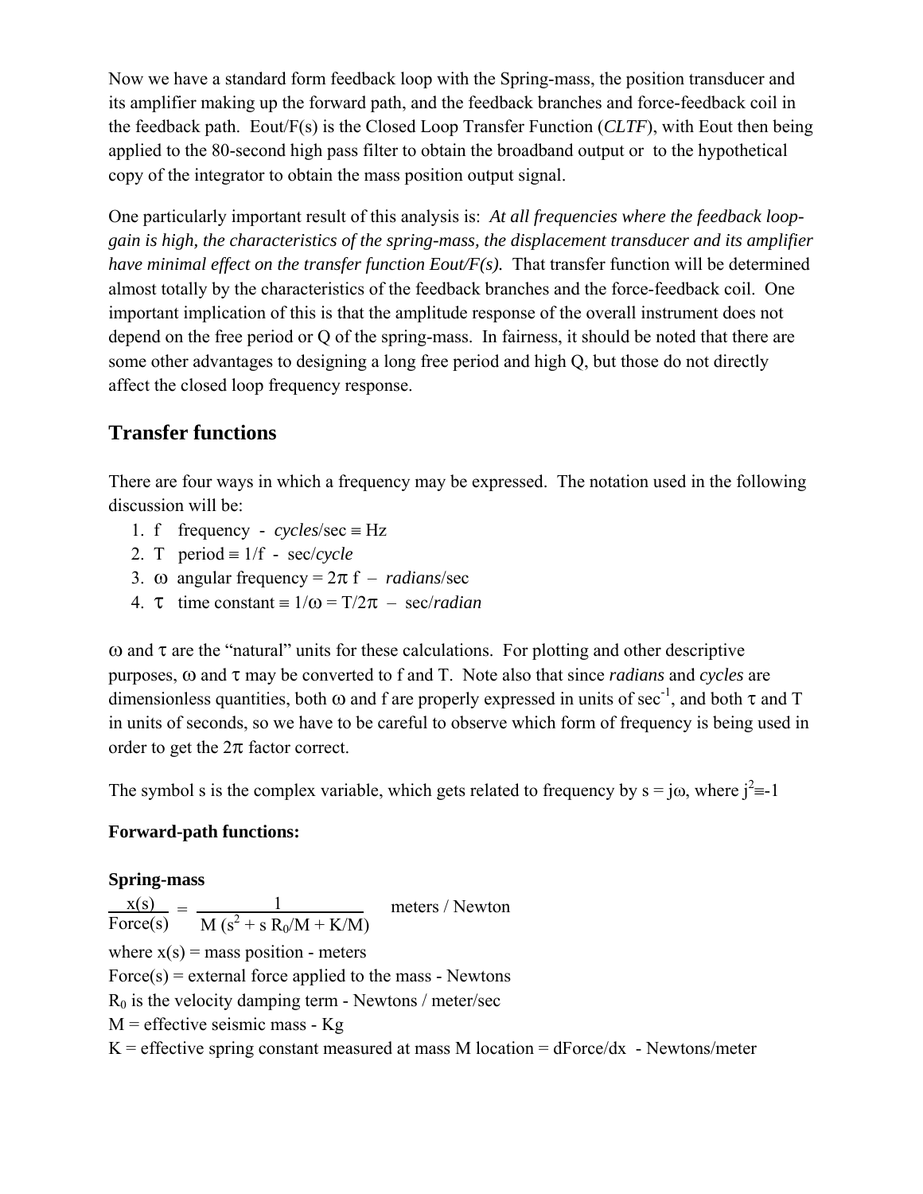Now we have a standard form feedback loop with the Spring-mass, the position transducer and its amplifier making up the forward path, and the feedback branches and force-feedback coil in the feedback path. Eout/F(s) is the Closed Loop Transfer Function (*CLTF*), with Eout then being applied to the 80-second high pass filter to obtain the broadband output or to the hypothetical copy of the integrator to obtain the mass position output signal.

One particularly important result of this analysis is: *At all frequencies where the feedback loopgain is high, the characteristics of the spring-mass, the displacement transducer and its amplifier have minimal effect on the transfer function Eout/F(s).* That transfer function will be determined almost totally by the characteristics of the feedback branches and the force-feedback coil. One important implication of this is that the amplitude response of the overall instrument does not depend on the free period or Q of the spring-mass. In fairness, it should be noted that there are some other advantages to designing a long free period and high Q, but those do not directly affect the closed loop frequency response.

# **Transfer functions**

There are four ways in which a frequency may be expressed. The notation used in the following discussion will be:

- 1. f frequency  $cycles/sec \equiv Hz$
- 2. T period  $\equiv 1/f$  sec/*cycle*
- 3. ω angular frequency =  $2\pi f$  *radians*/sec
- **4.**  $\tau$  time constant =  $1/\omega = T/2\pi$  sec/*radian*

ω and  $τ$  are the "natural" units for these calculations. For plotting and other descriptive purposes, ω and τ may be converted to f and T. Note also that since *radians* and *cycles* are dimensionless quantities, both  $\omega$  and f are properly expressed in units of sec<sup>-1</sup>, and both  $\tau$  and T in units of seconds, so we have to be careful to observe which form of frequency is being used in order to get the  $2\pi$  factor correct.

The symbol s is the complex variable, which gets related to frequency by  $s = j\omega$ , where  $j^2 = -1$ 

# **Forward-path functions:**

# **Spring-mass**

 $\frac{x(s)}{s} = \frac{1}{(s-1)^2}$  meters / Newton Force(s)  $\overline{M (s^2 + s R_0/M + K/M)}$ where  $x(s)$  = mass position - meters Force(s) = external force applied to the mass - Newtons  $R_0$  is the velocity damping term - Newtons / meter/sec  $M =$  effective seismic mass -  $Kg$  $K =$  effective spring constant measured at mass M location = dForce/dx - Newtons/meter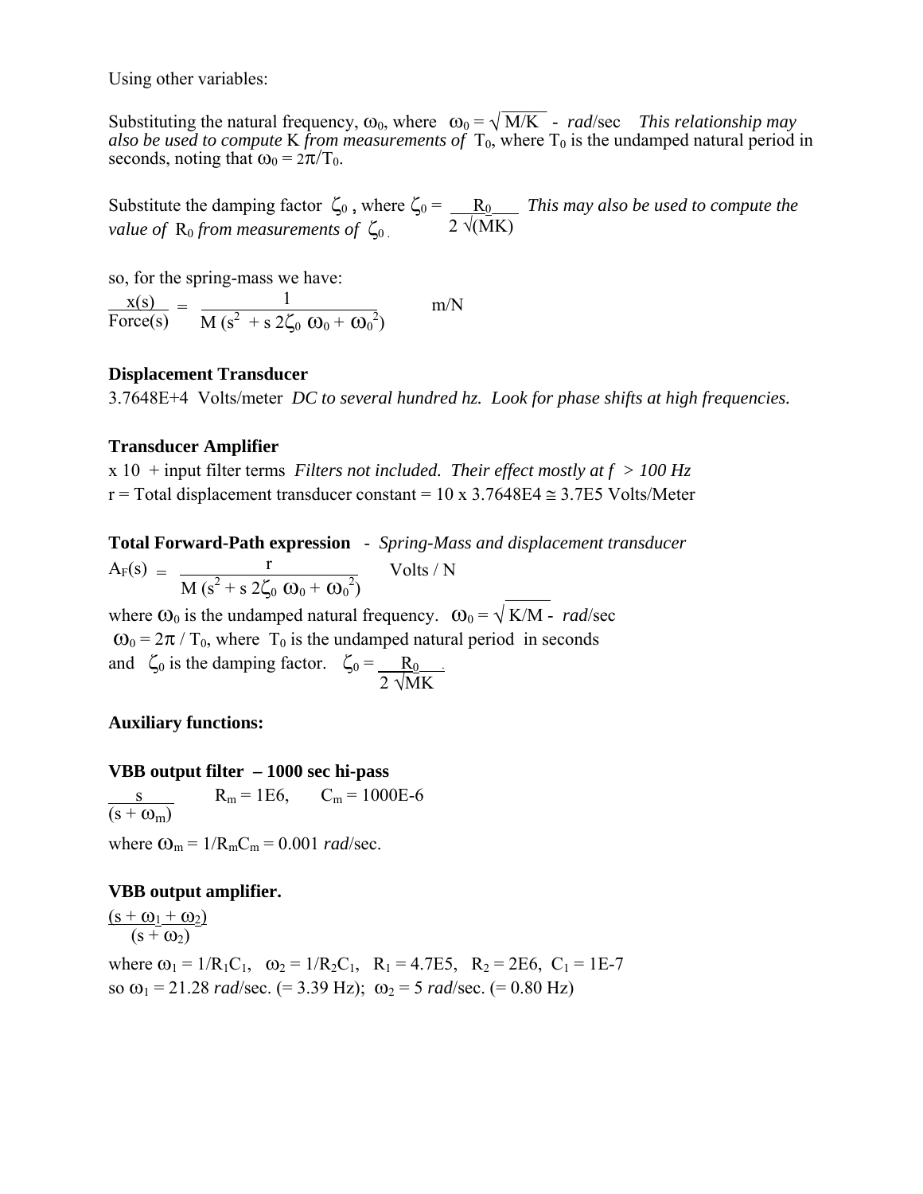Using other variables:

 \_\_\_\_\_ Substituting the natural frequency,  $\omega_0$ , where  $\omega_0 = \sqrt{M/K}$  - *rad/sec This relationship may also be used to compute* K *from measurements of*  $T_0$ , where  $T_0$  is the undamped natural period in seconds, noting that  $\omega_0 = 2\pi/T_0$ .

Substitute the damping factor  $\zeta_0$ , where  $\zeta_0 = \underline{R_0}$  *This may also be used to compute the value of*  $\rm\,R}_0$  *from measurements of*  $\zeta_0$  . 2  $\sqrt{\rm MK}$ 

so, for the spring-mass we have:

 $\frac{x(s)}{s} = \frac{1}{1 - \frac{1}{s}}$  m/N Force(s)  $\overline{M (s^2 + s 2\zeta_0 \omega_0 + \omega_0^2)}$ 

### **Displacement Transducer**

3.7648E+4 Volts/meter *DC to several hundred hz. Look for phase shifts at high frequencies.* 

## **Transducer Amplifier**

x 10 + input filter terms *Filters not included. Their effect mostly at f > 100 Hz* r = Total displacement transducer constant =  $10 \times 3.7648E4 \approx 3.7E5$  Volts/Meter

**Total Forward-Path expression** - *Spring-Mass and displacement transducer*   $A_F(s) = \frac{r}{\sqrt{1 - \left(\frac{s}{c}\right)^2 + \left(\frac{s}{c}\right)^2}}$  Volts / N  $M (s^2 + s 2\zeta_0 \omega_0 + \omega_0^2)$ 

where  $\omega_0$  is the undamped natural frequency.  $\omega_0 = \sqrt{K/M}$  - *rad/sec*  $\omega_0 = 2\pi / T_0$ , where  $T_0$  is the undamped natural period in seconds and  $\zeta_0$  is the damping factor.  $\zeta_0 = \underline{R_0}$ .  $2 \sqrt{\text{MK}}$ 

## **Auxiliary functions:**

### **VBB output filter – 1000 sec hi-pass**

s R<sub>m</sub> = 1E6, C<sub>m</sub> = 1000E-6  $(s + \omega_m)$ where  $\omega_m = 1/R_mC_m = 0.001$  *rad/sec.* 

## **VBB output amplifier.**

 $(s + \omega_1 + \omega_2)$  $(s + \omega_2)$ 

where  $\omega_1 = 1/R_1C_1$ ,  $\omega_2 = 1/R_2C_1$ ,  $R_1 = 4.7E5$ ,  $R_2 = 2E6$ ,  $C_1 = 1E-7$ so  $\omega_1$  = 21.28 *rad*/sec. (= 3.39 Hz);  $\omega_2$  = 5 *rad*/sec. (= 0.80 Hz)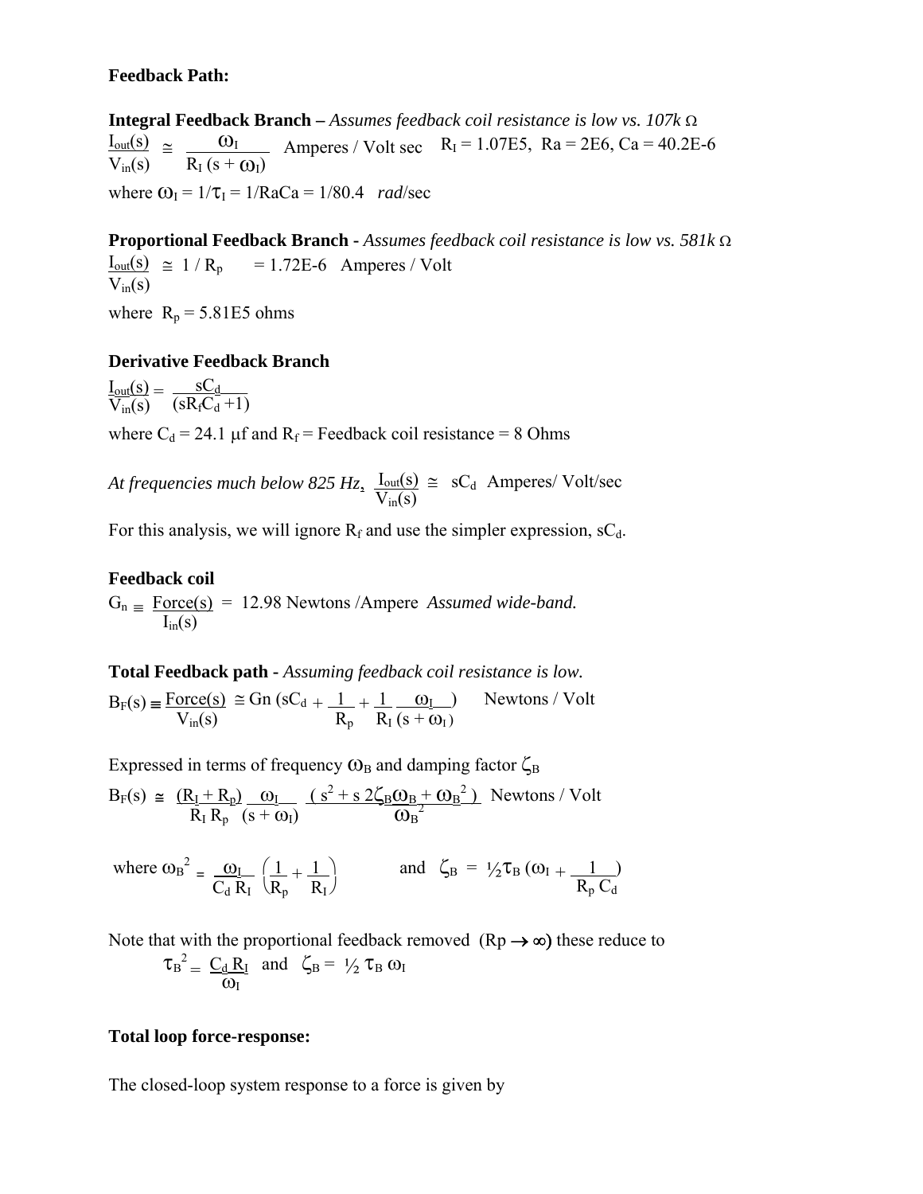# **Feedback Path:**

**Integral Feedback Branch –** *Assumes feedback coil resistance is low vs. 107k* Ω  $\frac{I_{\text{out}}(s)}{I_{\text{out}}(s)} \approx \frac{Q_1}{I_{\text{out}}}$  Amperes / Volt sec R<sub>I</sub> = 1.07E5, Ra = 2E6, Ca = 40.2E-6  $\overline{V_{in}(s)}$  –  $\overline{R_{I}(s+\omega_{I})}$ where  $\omega_I = 1/\tau_I = 1/RaCa = 1/80.4$  *rad*/sec

**Proportional Feedback Branch -** *Assumes feedback coil resistance is low vs. 581k* Ω  $I_{out}(s) \approx 1/R_p = 1.72E-6$  Amperes / Volt  $V_{in}(s)$ where  $R_p = 5.81E5$  ohms

# **Derivative Feedback Branch**

 $\underline{\underline{I}_{out}(s)} = \frac{sC_d}{(R - S)^{-1}}$  $\overline{V_{in}(s)}$  (sR<sub>f</sub>C<sub>d</sub>+1)

where  $C_d = 24.1 \mu f$  and  $R_f$  = Feedback coil resistance = 8 Ohms

At frequencies much below 825 Hz,  $I_{\text{out}}(s) \cong sC_d$  Amperes/ Volt/sec  $V_{in}(s)$ 

For this analysis, we will ignore  $R_f$  and use the simpler expression, sC<sub>d</sub>.

# **Feedback coil**

 $G_n \equiv \text{Force}(s) = 12.98$  Newtons /Ampere *Assumed wide-band.*  $I_{in}(s)$ 

**Total Feedback path -** *Assuming feedback coil resistance is low.* 

 $B_F(s) = \frac{\text{Force}(s)}{\text{face}(s)} \approx \text{Gn}(sC_d + \underline{1} + \underline{1} - \underline{\omega_I})$  Newtons / Volt  $V_{\text{in}}(s)$   $\overline{R_p}$   $\overline{R_I (s + \omega_I)}$ 

Expressed in terms of frequency  $\omega_B$  and damping factor  $\zeta_B$ 

 $B_F(s) \cong \frac{(R_I + R_p)}{R_I R_p} \frac{\omega_I}{(s + \omega_I)} \frac{(s^2 + s \, 2\zeta_B \omega_B + \omega_B^2)}{\omega_B^2}$  Newtons / Volt

where  $\omega_B^2 = \frac{\omega_I}{C_d R_I} \left( \frac{1}{R_p} + \frac{1}{R_I} \right)$  and  $\zeta_B = \frac{1}{2} \tau_B (\omega_I + \frac{1}{R_p C_d})$ 

Note that with the proportional feedback removed  $(Rp \rightarrow \infty)$  these reduce to  $\tau_B^2 = \underline{C_d R_I}$  and  $\zeta_B = \frac{1}{2} \tau_B \omega_I$  $\frac{d}{d\omega} = \frac{d}{d\omega}$ 

## **Total loop force-response:**

The closed-loop system response to a force is given by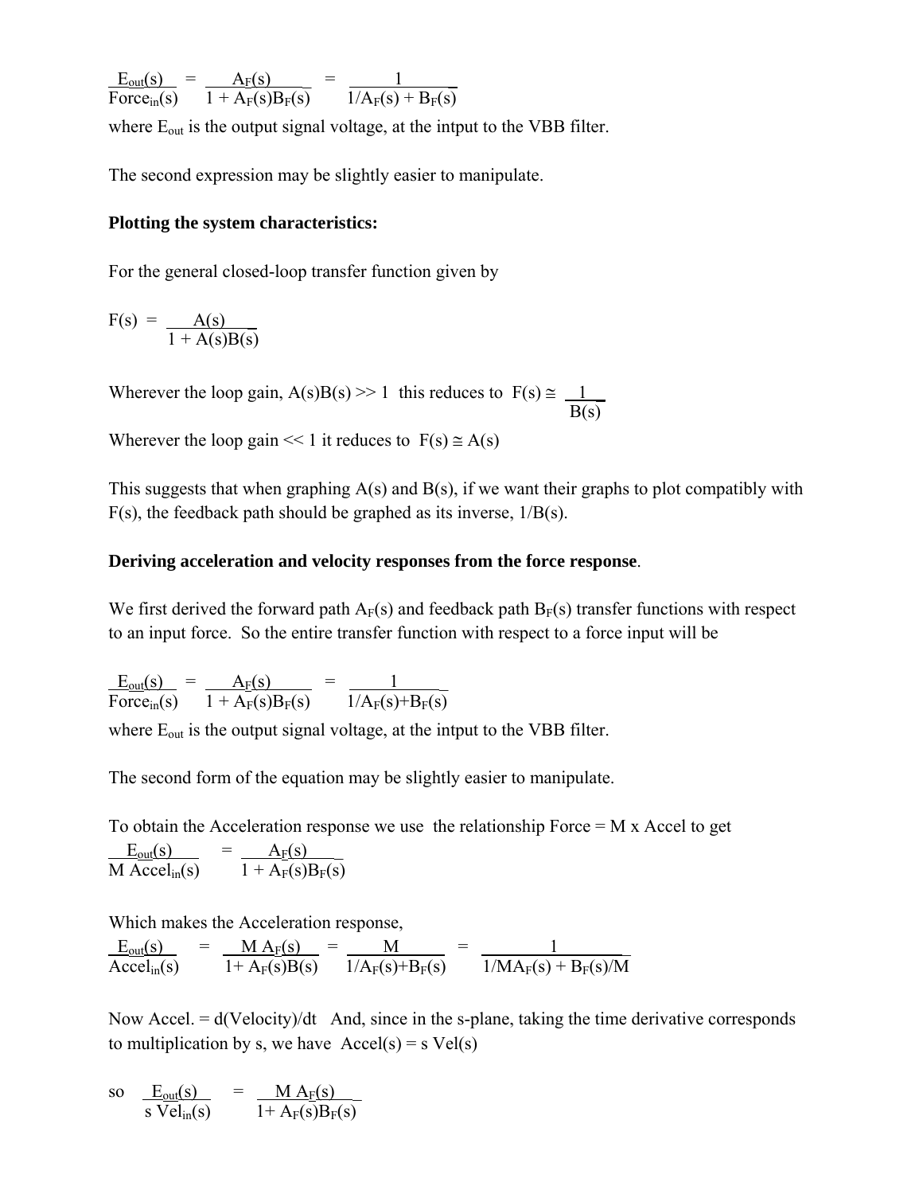$E_{out}(s) = A_F(s) = 1$ Force<sub>in</sub>(s)  $1 + A_F(s)B_F(s)$   $1/A_F(s) + B_F(s)$ 

where  $E_{out}$  is the output signal voltage, at the intput to the VBB filter.

The second expression may be slightly easier to manipulate.

### **Plotting the system characteristics:**

For the general closed-loop transfer function given by

 $F(s) =$   $A(s)$  $1 + A(s)B(s)$ 

Wherever the loop gain, A(s)B(s) >> 1 this reduces to  $F(s) \approx 1$  $B(s)$ 

Wherever the loop gain  $<< 1$  it reduces to  $F(s) \approx A(s)$ 

This suggests that when graphing  $A(s)$  and  $B(s)$ , if we want their graphs to plot compatibly with  $F(s)$ , the feedback path should be graphed as its inverse,  $1/B(s)$ .

### **Deriving acceleration and velocity responses from the force response**.

We first derived the forward path  $A_F(s)$  and feedback path  $B_F(s)$  transfer functions with respect to an input force. So the entire transfer function with respect to a force input will be

 $E_{\text{out}}(s) = A_F(s) = 1$ Force<sub>in</sub>(s)  $1 + A_F(s)B_F(s)$   $1/A_F(s)+B_F(s)$ 

where  $E_{out}$  is the output signal voltage, at the intput to the VBB filter.

The second form of the equation may be slightly easier to manipulate.

To obtain the Acceleration response we use the relationship Force  $= M x$  Accel to get

 $E_{\text{out}}(s)$  =  $A_F(s)$ M Accel<sub>in</sub>(s)  $1 + A_F(s)B_F(s)$ 

Which makes the Acceleration response,

 $E_{out}(s)$  =  $M A_F(s)$  =  $M$  =  $1$ Accel<sub>in</sub>(s)  $1+ A_F(s)B(s)$   $1/A_F(s)+B_F(s)$   $1/MA_F(s) + B_F(s)/M$ 

Now Accel.  $= d(\text{Velocity})/dt$  And, since in the s-plane, taking the time derivative corresponds to multiplication by s, we have  $\text{Accel}(s) = s \text{ Vel}(s)$ 

so  $E_{\text{out}}(s)$  =  $M A_F(s)$ s Vel<sub>in</sub>(s)  $1+A_F(s)B_F(s)$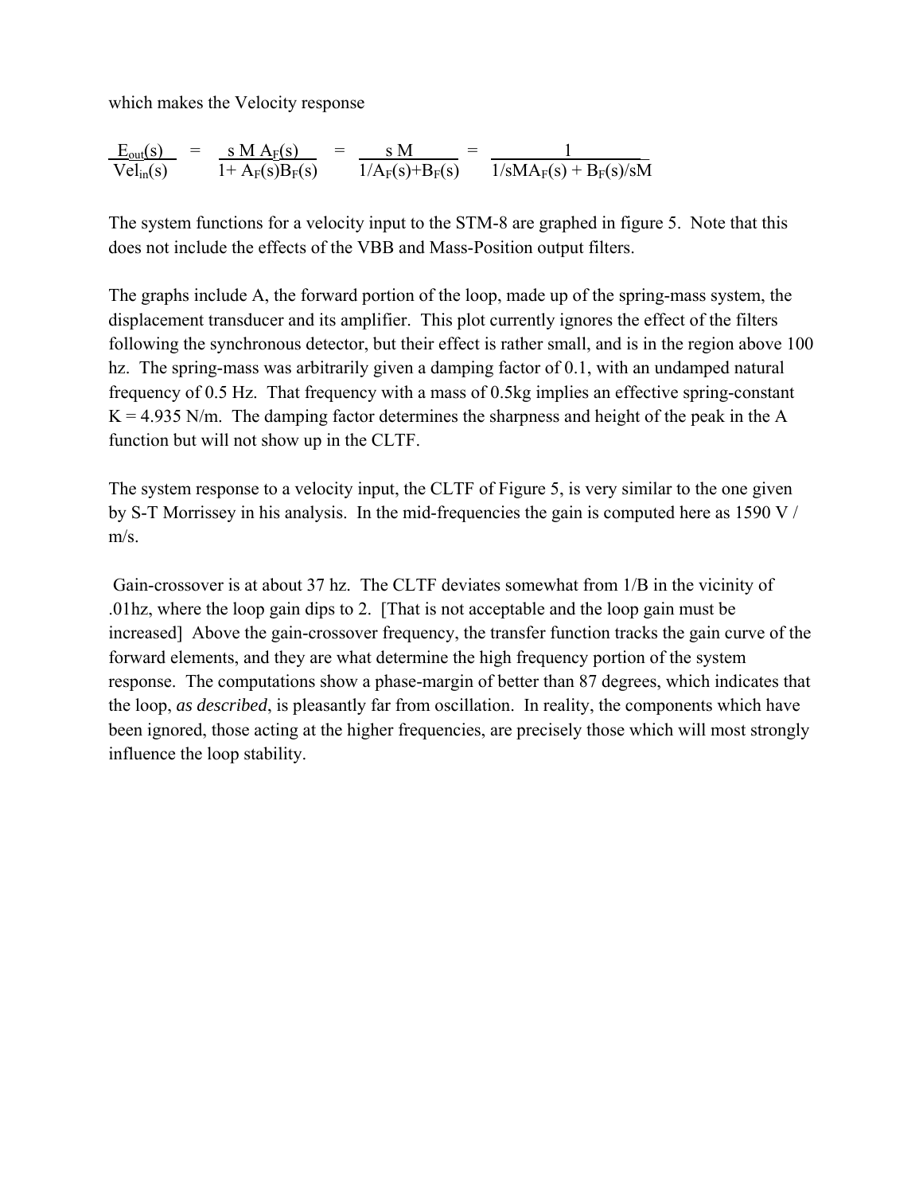which makes the Velocity response

$$
\frac{E_{out}(s)}{Vel_{in}(s)} = \frac{s M A_F(s)}{1 + A_F(s)B_F(s)} = \frac{s M}{1/A_F(s)+B_F(s)} = \frac{1}{1/s M A_F(s) + B_F(s)/s M}
$$

The system functions for a velocity input to the STM-8 are graphed in figure 5. Note that this does not include the effects of the VBB and Mass-Position output filters.

The graphs include A, the forward portion of the loop, made up of the spring-mass system, the displacement transducer and its amplifier. This plot currently ignores the effect of the filters following the synchronous detector, but their effect is rather small, and is in the region above 100 hz. The spring-mass was arbitrarily given a damping factor of 0.1, with an undamped natural frequency of 0.5 Hz. That frequency with a mass of 0.5kg implies an effective spring-constant  $K = 4.935$  N/m. The damping factor determines the sharpness and height of the peak in the A function but will not show up in the CLTF.

The system response to a velocity input, the CLTF of Figure 5, is very similar to the one given by S-T Morrissey in his analysis. In the mid-frequencies the gain is computed here as 1590 V / m/s.

 Gain-crossover is at about 37 hz. The CLTF deviates somewhat from 1/B in the vicinity of .01hz, where the loop gain dips to 2. [That is not acceptable and the loop gain must be increased] Above the gain-crossover frequency, the transfer function tracks the gain curve of the forward elements, and they are what determine the high frequency portion of the system response. The computations show a phase-margin of better than 87 degrees, which indicates that the loop, *as described*, is pleasantly far from oscillation. In reality, the components which have been ignored, those acting at the higher frequencies, are precisely those which will most strongly influence the loop stability.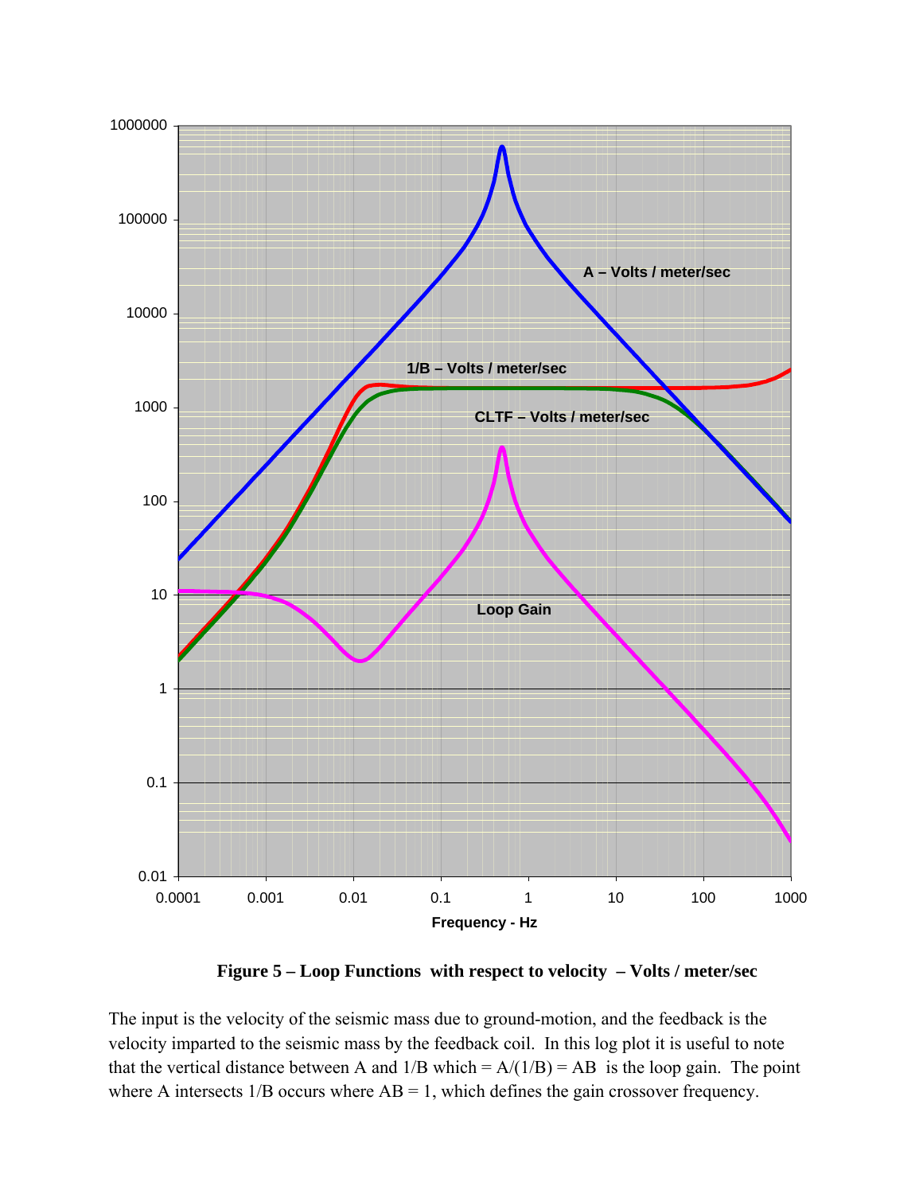

**Figure 5 – Loop Functions with respect to velocity – Volts / meter/sec** 

The input is the velocity of the seismic mass due to ground-motion, and the feedback is the velocity imparted to the seismic mass by the feedback coil. In this log plot it is useful to note that the vertical distance between A and  $1/B$  which =  $A/(1/B) = AB$  is the loop gain. The point where A intersects  $1/B$  occurs where  $AB = 1$ , which defines the gain crossover frequency.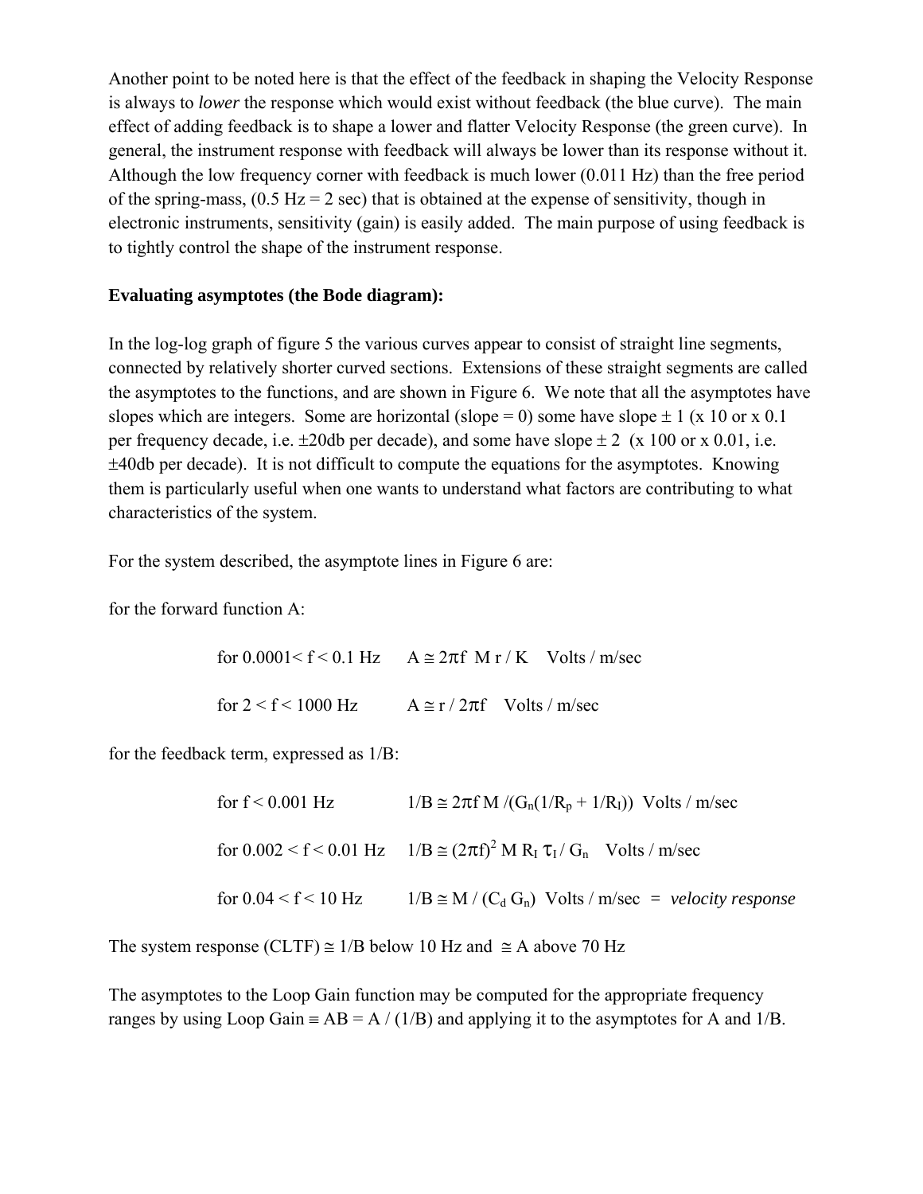Another point to be noted here is that the effect of the feedback in shaping the Velocity Response is always to *lower* the response which would exist without feedback (the blue curve). The main effect of adding feedback is to shape a lower and flatter Velocity Response (the green curve). In general, the instrument response with feedback will always be lower than its response without it. Although the low frequency corner with feedback is much lower (0.011 Hz) than the free period of the spring-mass,  $(0.5 \text{ Hz} = 2 \text{ sec})$  that is obtained at the expense of sensitivity, though in electronic instruments, sensitivity (gain) is easily added. The main purpose of using feedback is to tightly control the shape of the instrument response.

## **Evaluating asymptotes (the Bode diagram):**

In the log-log graph of figure 5 the various curves appear to consist of straight line segments, connected by relatively shorter curved sections. Extensions of these straight segments are called the asymptotes to the functions, and are shown in Figure 6. We note that all the asymptotes have slopes which are integers. Some are horizontal (slope = 0) some have slope  $\pm 1$  (x 10 or x 0.1 per frequency decade, i.e.  $\pm 20$ db per decade), and some have slope  $\pm 2$  (x 100 or x 0.01, i.e. ±40db per decade). It is not difficult to compute the equations for the asymptotes. Knowing them is particularly useful when one wants to understand what factors are contributing to what characteristics of the system.

For the system described, the asymptote lines in Figure 6 are:

for the forward function A:

for  $0.0001 \le f \le 0.1$  Hz  $A \cong 2\pi f$  M r / K Volts / m/sec for  $2 < f < 1000$  Hz  $A \cong r / 2\pi f$  Volts / m/sec

for the feedback term, expressed as 1/B:

| for $f < 0.001$ Hz         | $1/B \approx 2\pi f M/(G_n(1/R_p + 1/R_l))$ Volts / m/sec                               |
|----------------------------|-----------------------------------------------------------------------------------------|
|                            | for $0.002 \le f \le 0.01$ Hz $1/B \approx (2\pi f)^2 M R_I \tau_I / G_n$ Volts / m/sec |
| for $0.04 \le f \le 10$ Hz | $1/B \cong M / (C_d G_n)$ Volts / m/sec = velocity response                             |

The system response (CLTF)  $\cong$  1/B below 10 Hz and  $\cong$  A above 70 Hz

The asymptotes to the Loop Gain function may be computed for the appropriate frequency ranges by using Loop Gain =  $AB = A / (1/B)$  and applying it to the asymptotes for A and 1/B.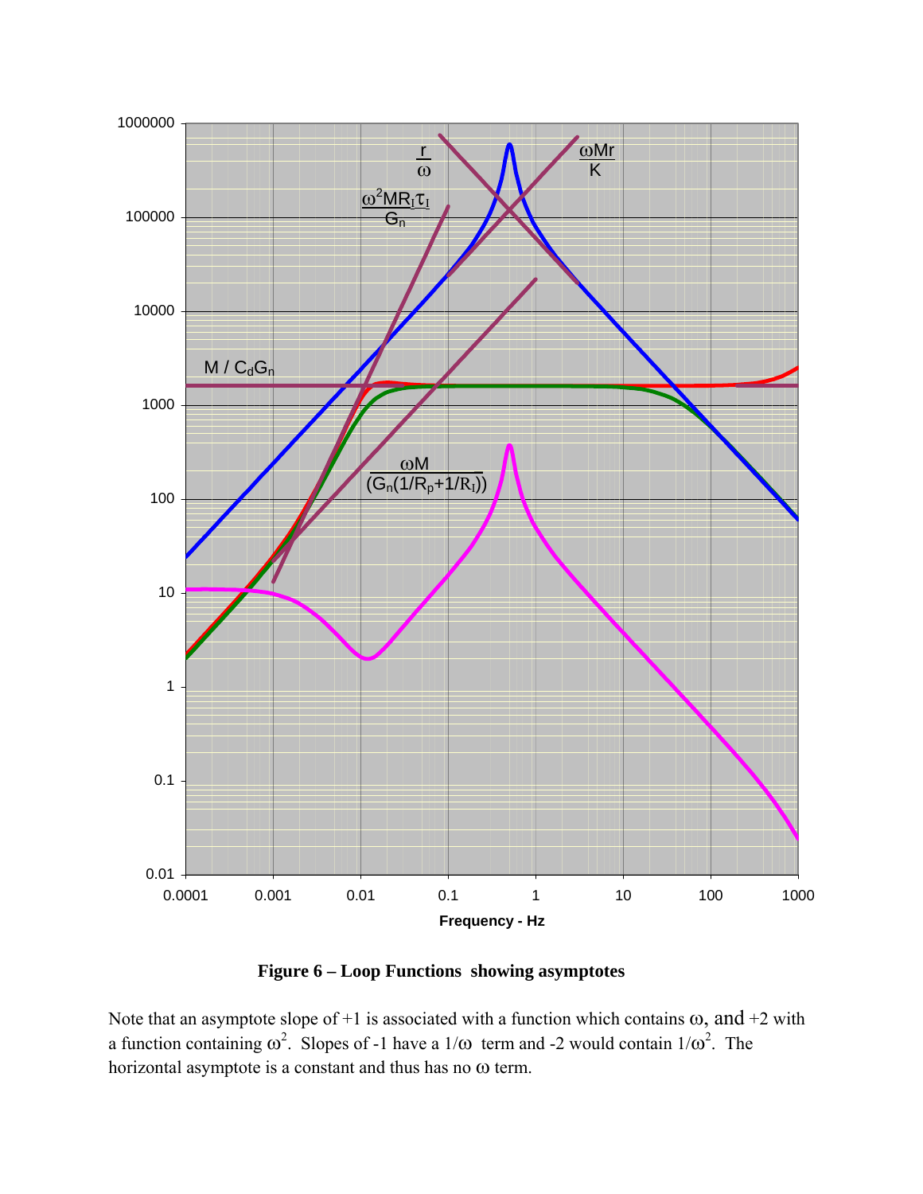

**Figure 6 – Loop Functions showing asymptotes** 

Note that an asymptote slope of +1 is associated with a function which contains  $\omega$ , and +2 with a function containing  $\omega^2$ . Slopes of -1 have a 1/ $\omega$  term and -2 would contain 1/ $\omega^2$ . The horizontal asymptote is a constant and thus has no ω term.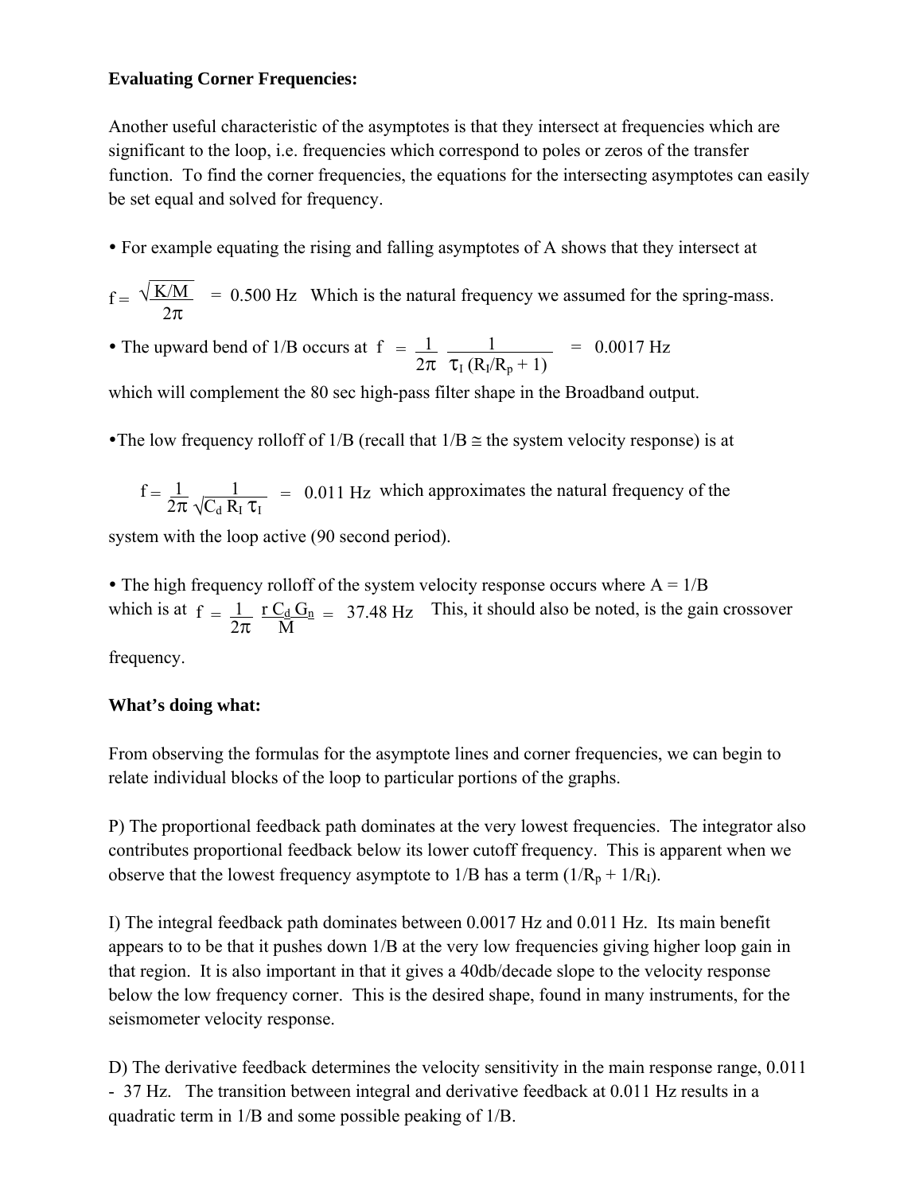# **Evaluating Corner Frequencies:**

Another useful characteristic of the asymptotes is that they intersect at frequencies which are significant to the loop, i.e. frequencies which correspond to poles or zeros of the transfer function. To find the corner frequencies, the equations for the intersecting asymptotes can easily be set equal and solved for frequency.

• For example equating the rising and falling asymptotes of A shows that they intersect at

$$
f = \frac{\sqrt{K/M}}{2\pi}
$$
 = 0.500 Hz Which is the natural frequency we assumed for the spring-mass.

• The upward bend of 1/B occurs at  $f = \frac{1}{2\pi} \frac{1}{\tau_1 (R_1/R_2 + 1)}$  = 0.0017 Hz

which will complement the 80 sec high-pass filter shape in the Broadband output.

•The low frequency rolloff of 1/B (recall that  $1/B \cong$  the system velocity response) is at

$$
f = \frac{1}{2\pi} \frac{1}{\sqrt{C_d R_I \tau_I}}
$$
 = 0.011 Hz which approximates the natural frequency of the

system with the loop active (90 second period).

• The high frequency rolloff of the system velocity response occurs where  $A = 1/B$ which is at  $f = \frac{1}{2} \frac{r C_d G_n}{r} = 37.48 \text{ Hz}$  This, it should also be noted, is the gain crossover  $\frac{1}{2\pi}$   $\frac{1}{M}$ 

frequency.

# **What's doing what:**

From observing the formulas for the asymptote lines and corner frequencies, we can begin to relate individual blocks of the loop to particular portions of the graphs.

P) The proportional feedback path dominates at the very lowest frequencies. The integrator also contributes proportional feedback below its lower cutoff frequency. This is apparent when we observe that the lowest frequency asymptote to  $1/B$  has a term  $(1/R_p + 1/R_l)$ .

I) The integral feedback path dominates between 0.0017 Hz and 0.011 Hz. Its main benefit appears to to be that it pushes down 1/B at the very low frequencies giving higher loop gain in that region. It is also important in that it gives a 40db/decade slope to the velocity response below the low frequency corner. This is the desired shape, found in many instruments, for the seismometer velocity response.

D) The derivative feedback determines the velocity sensitivity in the main response range, 0.011 - 37 Hz. The transition between integral and derivative feedback at 0.011 Hz results in a quadratic term in 1/B and some possible peaking of 1/B.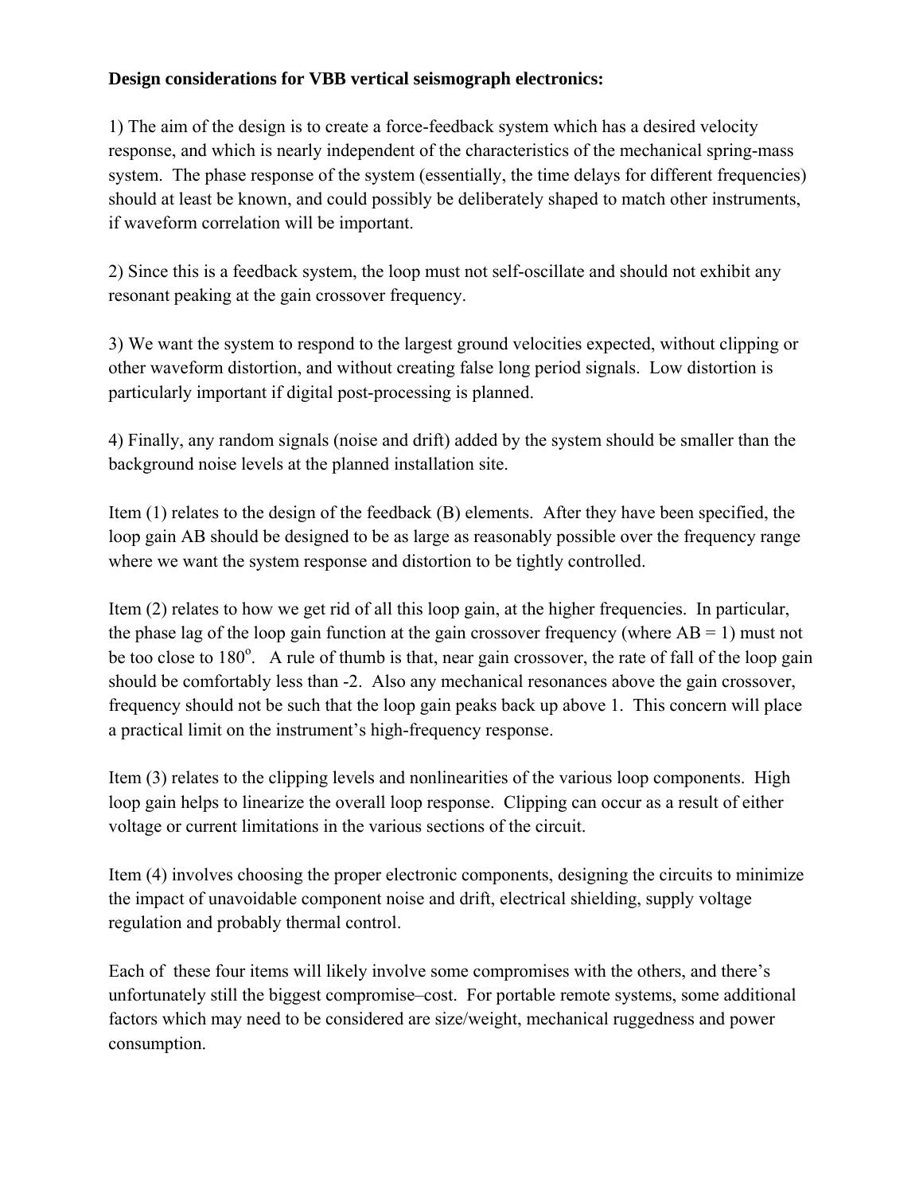# **Design considerations for VBB vertical seismograph electronics:**

1) The aim of the design is to create a force-feedback system which has a desired velocity response, and which is nearly independent of the characteristics of the mechanical spring-mass system. The phase response of the system (essentially, the time delays for different frequencies) should at least be known, and could possibly be deliberately shaped to match other instruments, if waveform correlation will be important.

2) Since this is a feedback system, the loop must not self-oscillate and should not exhibit any resonant peaking at the gain crossover frequency.

3) We want the system to respond to the largest ground velocities expected, without clipping or other waveform distortion, and without creating false long period signals. Low distortion is particularly important if digital post-processing is planned.

4) Finally, any random signals (noise and drift) added by the system should be smaller than the background noise levels at the planned installation site.

Item (1) relates to the design of the feedback (B) elements. After they have been specified, the loop gain AB should be designed to be as large as reasonably possible over the frequency range where we want the system response and distortion to be tightly controlled.

Item (2) relates to how we get rid of all this loop gain, at the higher frequencies. In particular, the phase lag of the loop gain function at the gain crossover frequency (where  $AB = 1$ ) must not be too close to 180<sup>o</sup>. A rule of thumb is that, near gain crossover, the rate of fall of the loop gain should be comfortably less than -2. Also any mechanical resonances above the gain crossover, frequency should not be such that the loop gain peaks back up above 1. This concern will place a practical limit on the instrument's high-frequency response.

Item (3) relates to the clipping levels and nonlinearities of the various loop components. High loop gain helps to linearize the overall loop response. Clipping can occur as a result of either voltage or current limitations in the various sections of the circuit.

Item (4) involves choosing the proper electronic components, designing the circuits to minimize the impact of unavoidable component noise and drift, electrical shielding, supply voltage regulation and probably thermal control.

Each of these four items will likely involve some compromises with the others, and there's unfortunately still the biggest compromise–cost. For portable remote systems, some additional factors which may need to be considered are size/weight, mechanical ruggedness and power consumption.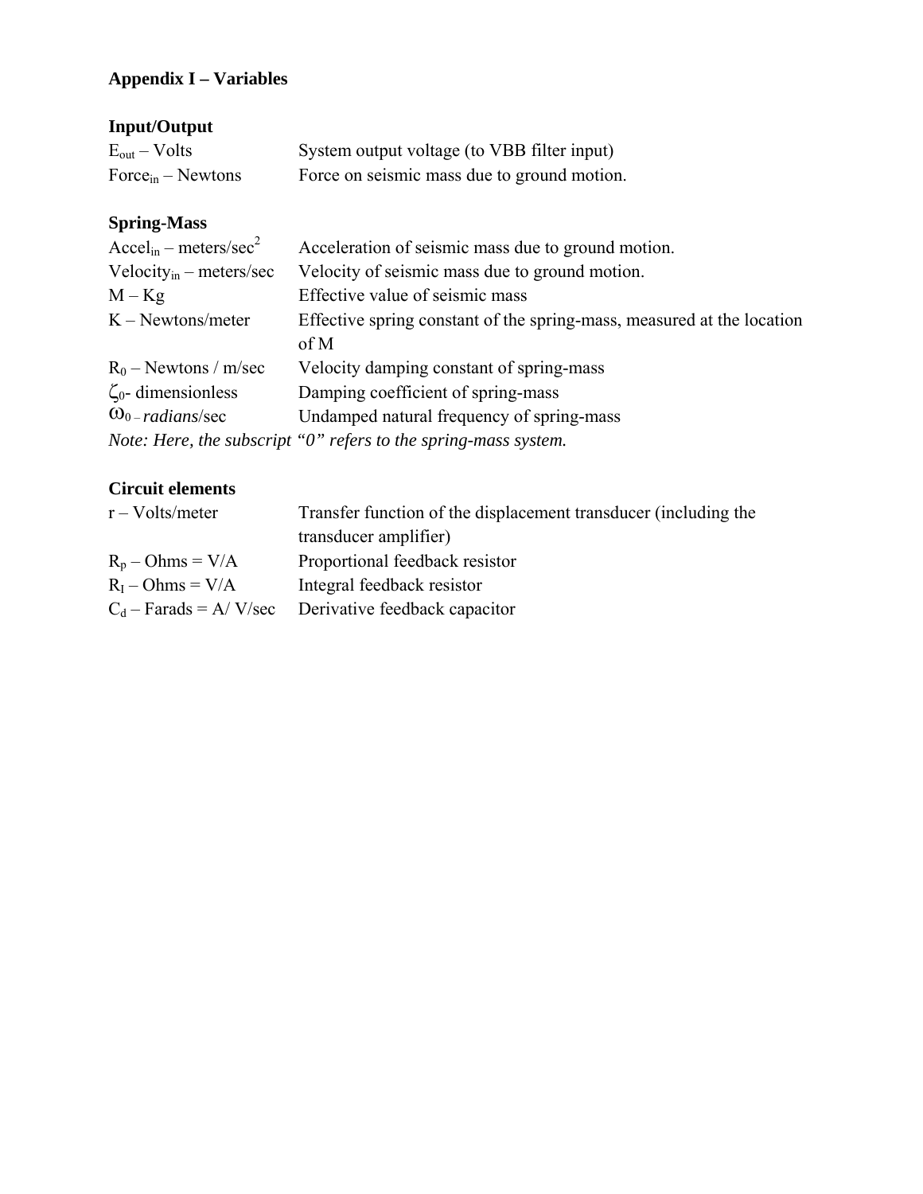# **Appendix I – Variables**

# **Input/Output**

| $E_{out} - Volts$      | System output voltage (to VBB filter input) |
|------------------------|---------------------------------------------|
| $Force_{in} - Newtons$ | Force on seismic mass due to ground motion. |

# **Spring-Mass**

| $\text{Accel}_{\text{in}} - \text{meters/sec}^2$ | Acceleration of seismic mass due to ground motion.                     |
|--------------------------------------------------|------------------------------------------------------------------------|
| Velocity <sub>in</sub> – meters/sec              | Velocity of seismic mass due to ground motion.                         |
| $M - Kg$                                         | Effective value of seismic mass                                        |
| $K - Newtons/meter$                              | Effective spring constant of the spring-mass, measured at the location |
|                                                  | of M                                                                   |
| $R_0$ – Newtons / m/sec                          | Velocity damping constant of spring-mass                               |
| $\zeta_0$ - dimensionless                        | Damping coefficient of spring-mass                                     |
| $\omega_{0-radius/sec}$                          | Undamped natural frequency of spring-mass                              |
|                                                  | Note: Here, the subscript "0" refers to the spring-mass system.        |

# **Circuit elements**

| $r - Volts/meter$  | Transfer function of the displacement transducer (including the |  |
|--------------------|-----------------------------------------------------------------|--|
|                    | transducer amplifier)                                           |  |
| $R_p - Ohms = V/A$ | Proportional feedback resistor                                  |  |
| $R_I$ – Ohms = V/A | Integral feedback resistor                                      |  |
|                    | $C_d$ – Farads = A/V/sec Derivative feedback capacitor          |  |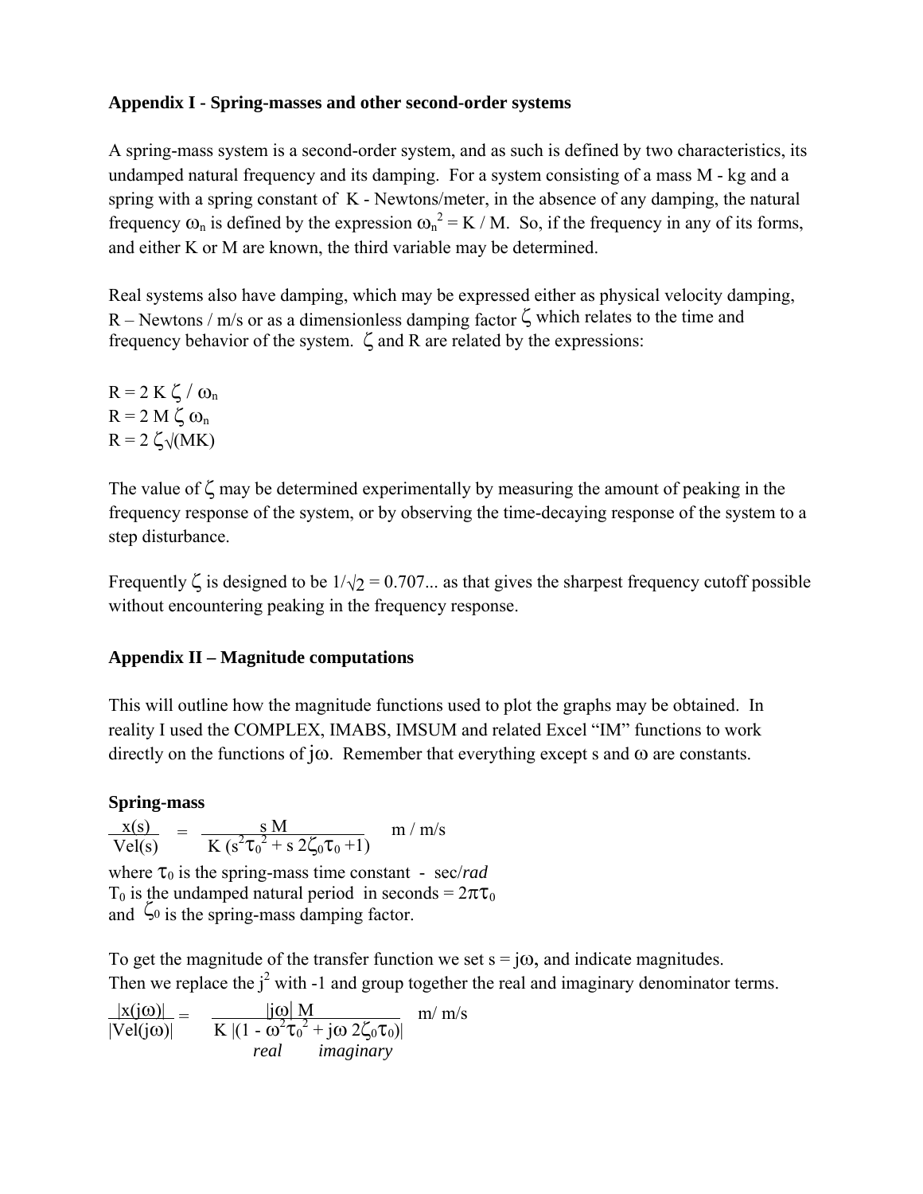# **Appendix I - Spring-masses and other second-order systems**

A spring-mass system is a second-order system, and as such is defined by two characteristics, its undamped natural frequency and its damping. For a system consisting of a mass M - kg and a spring with a spring constant of K - Newtons/meter, in the absence of any damping, the natural frequency  $\omega_n$  is defined by the expression  $\omega_n^2 = K / M$ . So, if the frequency in any of its forms, and either K or M are known, the third variable may be determined.

Real systems also have damping, which may be expressed either as physical velocity damping, R – Newtons / m/s or as a dimensionless damping factor  $\zeta$  which relates to the time and frequency behavior of the system.  $\zeta$  and R are related by the expressions:

 $R = 2 K \zeta / \omega_n$  $R = 2 M \zeta \omega_n$  $R = 2 \zeta \sqrt{(MK)}$ 

The value of  $\zeta$  may be determined experimentally by measuring the amount of peaking in the frequency response of the system, or by observing the time-decaying response of the system to a step disturbance.

Frequently  $\zeta$  is designed to be  $1/\sqrt{2} = 0.707...$  as that gives the sharpest frequency cutoff possible without encountering peaking in the frequency response.

# **Appendix II – Magnitude computations**

This will outline how the magnitude functions used to plot the graphs may be obtained. In reality I used the COMPLEX, IMABS, IMSUM and related Excel "IM" functions to work directly on the functions of j $\omega$ . Remember that everything except s and  $\omega$  are constants.

## **Spring-mass**

$$
\frac{x(s)}{Vel(s)} = \frac{s M}{K (s^2 \tau_0^2 + s 2\zeta_0 \tau_0 + 1)}
$$
 m/m/s

where  $\tau_0$  is the spring-mass time constant - sec/*rad* T<sub>0</sub> is the undamped natural period in seconds =  $2\pi\tau_0$ and  $\zeta_0$  is the spring-mass damping factor.

To get the magnitude of the transfer function we set  $s = j\omega$ , and indicate magnitudes. Then we replace the  $j^2$  with -1 and group together the real and imaginary denominator terms.

$$
\frac{|x(j\omega)|}{|Vel(j\omega)|} = \frac{|j\omega| M}{K |(1 - \omega^2 \tau_0^2 + j\omega 2\zeta_0 \tau_0)|} m/m/s
$$
  
real imaginary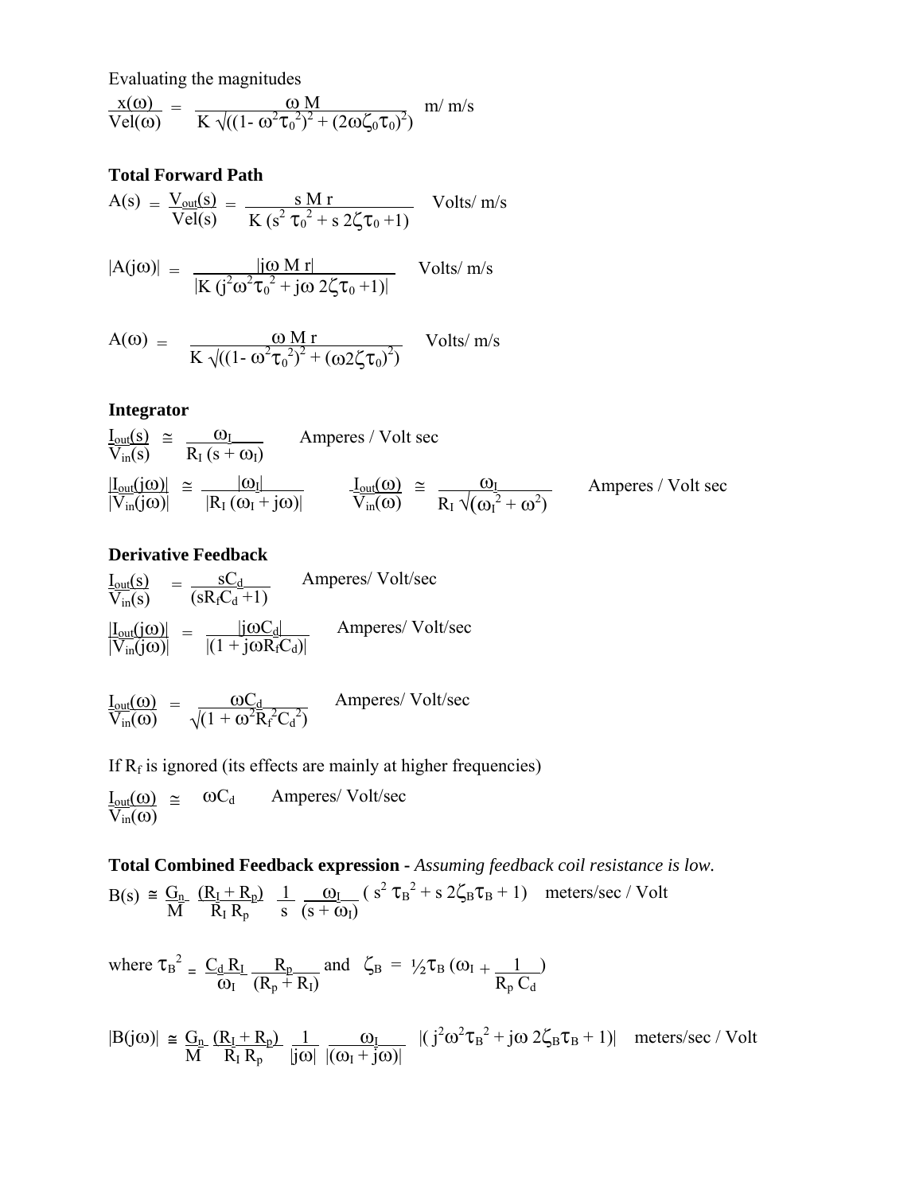Evaluating the magnitudes

$$
\frac{x(\omega)}{Vel(\omega)} = \frac{\omega M}{K \sqrt{((1 - \omega^2 \tau_0^2)^2 + (2\omega \zeta_0 \tau_0)^2})} \frac{m}{m/s}
$$

# **Total Forward Path**

$$
A(s) = \frac{V_{out}(s)}{Vel(s)} = \frac{s M r}{K (s^2 \tau_0^2 + s 2\zeta \tau_0 + 1)}
$$
Volts/m/s

$$
|A(j\omega)| = \frac{|j\omega \text{ M }r|}{|K (j^2 \omega^2 \tau_0^2 + j\omega 2\zeta \tau_0 + 1)|} \quad \text{Volts/ m/s}
$$

$$
A(\omega) = \frac{\omega Mr}{K \sqrt{((1 - \omega^2 \tau_0^2)^2 + (\omega 2 \zeta \tau_0)^2)}} \quad \text{Volts/m/s}
$$

#### **Integrator**

$$
\frac{I_{out}(s)}{V_{in}(s)} \cong \frac{\omega_{I}}{R_{I}(s+\omega_{I})}
$$
 Amperes / Volt sec  
\n
$$
\frac{|I_{out}(j\omega)|}{|V_{in}(j\omega)|} \cong \frac{|\omega_{I}|}{|R_{I}(\omega_{I}+j\omega)|}
$$
 Amperes / Volt sec  
\n
$$
\frac{I_{out}(j\omega)}{V_{in}(j\omega)} \cong \frac{I_{out}(\omega)}{V_{in}(\omega)} \cong \frac{\omega_{I}}{R_{I}\sqrt{(\omega_{I}^{2}+\omega^{2})}}
$$
 Amperes / Volt sec

### **Derivative Feedback**

$$
\frac{I_{out}(s)}{V_{in}(s)} = \frac{sC_d}{(sR_fC_d+1)}
$$
 Amperes/ Volt/sec  
\n
$$
\frac{|I_{out}(j\omega)|}{|V_{in}(j\omega)|} = \frac{|j\omega C_d|}{|(1 + j\omega R_fC_d)|}
$$
 Amperes/ Volt/sec

$$
\frac{I_{out}(\omega)}{V_{in}(\omega)} = \frac{\omega C_d}{\sqrt{(1 + \omega^2 R_f^2 C_d^2)}}
$$
 Amperes/ Volt/sec

If  $R_f$  is ignored (its effects are mainly at higher frequencies)

$$
\frac{I_{out}(\omega)}{V_{in}(\omega)} \cong \omega C_d \qquad Amperes/Volt/sec
$$

**Total Combined Feedback expression -** *Assuming feedback coil resistance is low.*   $B(s) \cong \underline{G_n}$   $(\underline{R_1 + R_p})$   $1 \underline{O_1}$   $(s^2 \tau_B^2 + s 2\zeta_B \tau_B + 1)$  meters/sec / Volt  $\overrightarrow{M}$   $\overrightarrow{R_I}$   $\overrightarrow{R_P}$   $\overrightarrow{s}$   $\overrightarrow{(s + \omega_I)}$ 

where  $\tau_B^2 = \frac{C_d R_I}{R_P R_P} \frac{R_P}{R_P R_P}$  and  $\zeta_B = \frac{1}{2} \tau_B (\omega_I + \frac{1}{R_P C_P})$  $\frac{1}{\omega_1} = \frac{1}{\omega_1} \frac{1}{(R_p + R_l)}$ 

$$
|B(j\omega)| \cong \frac{G_n}{M} \frac{(R_I + R_p)}{R_I R_p} \frac{1}{|j\omega|} \frac{\omega_I}{|(\omega_I + j\omega)|} \quad |(j^2 \omega^2 \tau_B^2 + j\omega 2\zeta_B \tau_B + 1)| \quad meters/sec \text{ / } Volt
$$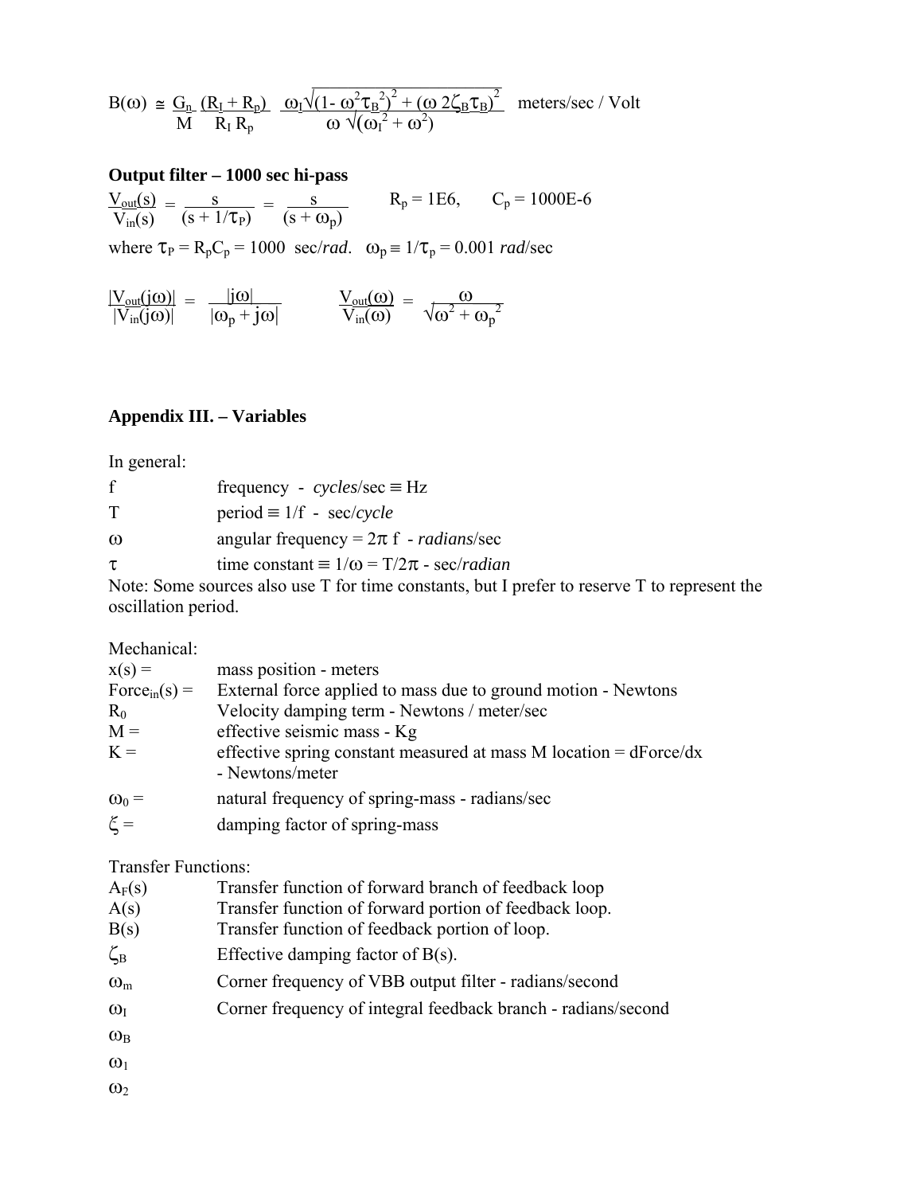$$
B(\omega) \cong \frac{G_n}{M} \frac{(R_I + R_p)}{R_I R_p} \frac{\omega_I \sqrt{(1 - \omega^2 \tau_B^2)^2 + (\omega^2 \zeta_B \tau_B)^2}}{\omega \sqrt{(\omega_I^2 + \omega^2)}}
$$
 meters/sec / Volt

## **Output filter – 1000 sec hi-pass**

 $\frac{V_{\text{out}}(s)}{V_{\text{out}}(s)} = \frac{s}{(s+1)(s)} = \frac{s}{(s+1)(s)}$   $R_p = 1E6$ ,  $C_p = 1000E-6$  $\frac{V_{\text{out}}(s)}{V_{\text{in}}(s)} = \frac{s}{(s + 1/\tau_{\text{P}})} = \frac{s}{(s + \omega_{\text{P}})}$ 

where  $\tau_P = R_p C_p = 1000 \text{ sec/rad.}$   $\omega_p = 1/\tau_p = 0.001 \text{ rad/sec}$ 

$$
\frac{|V_{out}(j\omega)|}{|V_{in}(j\omega)|} = \frac{|j\omega|}{|\omega_p + j\omega|} \qquad \frac{V_{out}(\omega)}{V_{in}(\omega)} = \frac{\omega}{\sqrt{\omega^2 + \omega_p}^2}
$$

## **Appendix III. – Variables**

In general:

| f        | frequency - $cycles/sec \equiv Hz$                            |
|----------|---------------------------------------------------------------|
| $\top$   | $period \equiv 1/f - sec/cycle$                               |
| $\omega$ | angular frequency = $2\pi$ f - <i>radians</i> /sec            |
| $\tau$   | time constant $\equiv 1/\omega = T/2\pi$ - sec/ <i>radian</i> |

Note: Some sources also use T for time constants, but I prefer to reserve T to represent the oscillation period.

Mechanical:

| $x(s) =$       | mass position - meters                                                                     |
|----------------|--------------------------------------------------------------------------------------------|
| $Forcein(s) =$ | External force applied to mass due to ground motion - Newtons                              |
| $R_0$          | Velocity damping term - Newtons / meter/sec                                                |
| $M =$          | effective seismic mass - Kg                                                                |
| $K =$          | effective spring constant measured at mass M location = $dF$ orce/ $dx$<br>- Newtons/meter |
| $\omega_0 =$   | natural frequency of spring-mass - radians/sec                                             |
| $\xi =$        | damping factor of spring-mass                                                              |

Transfer Functions:

| $A_F(s)$ | Transfer function of forward branch of feedback loop |  |  |  |
|----------|------------------------------------------------------|--|--|--|
|----------|------------------------------------------------------|--|--|--|

- A(s) Transfer function of forward portion of feedback loop.
- B(s) Transfer function of feedback portion of loop.
- $\zeta_B$  Effective damping factor of B(s).
- ωm Corner frequency of VBB output filter radians/second
- $\omega_{I}$  Corner frequency of integral feedback branch radians/second
- $\omega_{\rm B}$
- $\omega_1$
- $\omega_2$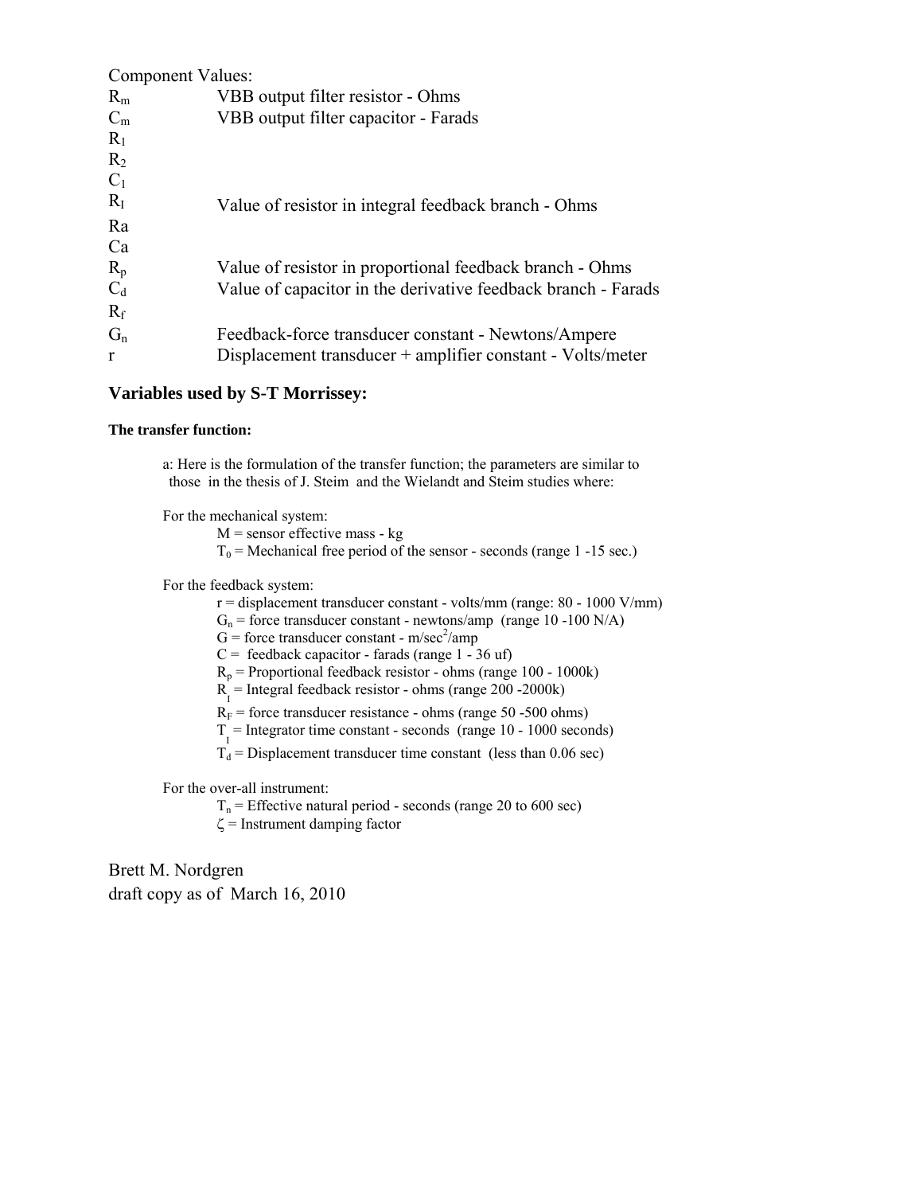| Component Values: |                                                               |
|-------------------|---------------------------------------------------------------|
| $R_{m}$           | VBB output filter resistor - Ohms                             |
| $C_m$             | VBB output filter capacitor - Farads                          |
| $R_1$             |                                                               |
| $R_2$             |                                                               |
| $C_1$             |                                                               |
| $R_I$             | Value of resistor in integral feedback branch - Ohms          |
| Ra                |                                                               |
| Ca                |                                                               |
| $R_p$             | Value of resistor in proportional feedback branch - Ohms      |
| $C_d$             | Value of capacitor in the derivative feedback branch - Farads |
| $R_f$             |                                                               |
| $G_n$             | Feedback-force transducer constant - Newtons/Ampere           |
| r                 | Displacement transducer + amplifier constant - Volts/meter    |

#### **Variables used by S-T Morrissey:**

#### **The transfer function:**

 a: Here is the formulation of the transfer function; the parameters are similar to those in the thesis of J. Steim and the Wielandt and Steim studies where:

For the mechanical system:

 $M$  = sensor effective mass - kg

 $T_0$  = Mechanical free period of the sensor - seconds (range 1 -15 sec.)

For the feedback system:

 $r =$  displacement transducer constant - volts/mm (range: 80 - 1000 V/mm)

 $G_n$  = force transducer constant - newtons/amp (range 10 -100 N/A)

 $G =$  force transducer constant - m/sec<sup>2</sup>/amp

 $C =$  feedback capacitor - farads (range  $1 - 36$  uf)

 $R_p$  = Proportional feedback resistor - ohms (range 100 - 1000k)

 $R_{I}$  = Integral feedback resistor - ohms (range 200 -2000k)

 $R_F$  = force transducer resistance - ohms (range 50 -500 ohms)

 $T_{I}$  = Integrator time constant - seconds (range 10 - 1000 seconds)

 $T_d$  = Displacement transducer time constant (less than 0.06 sec)

For the over-all instrument:

 $T_n$  = Effective natural period - seconds (range 20 to 600 sec)

 $\zeta$  = Instrument damping factor

Brett M. Nordgren draft copy as of March 16, 2010